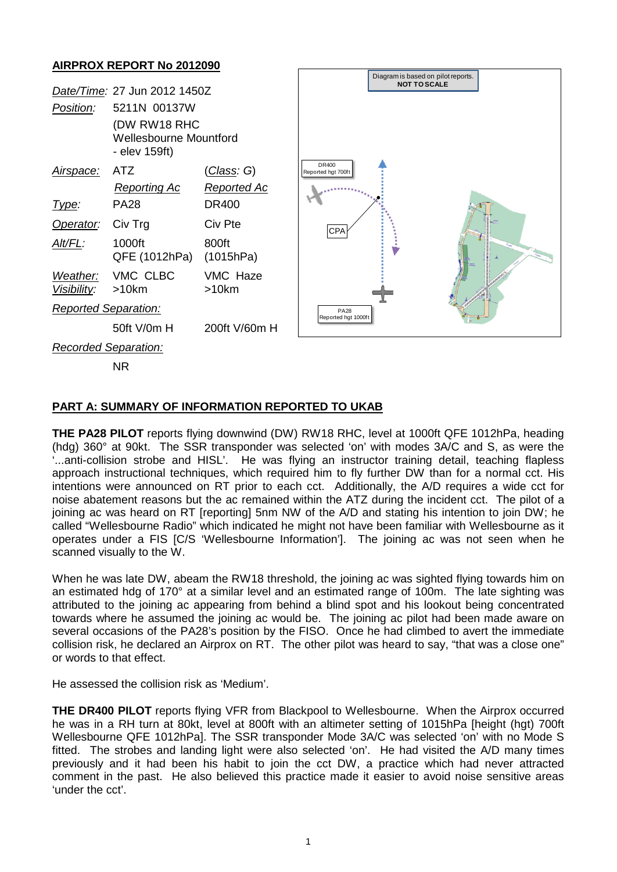## **AIRPROX REPORT No 2012090**



## **PART A: SUMMARY OF INFORMATION REPORTED TO UKAB**

**THE PA28 PILOT** reports flying downwind (DW) RW18 RHC, level at 1000ft QFE 1012hPa, heading (hdg) 360° at 90kt. The SSR transponder was selected 'on' with modes 3A/C and S, as were the '...anti-collision strobe and HISL'. He was flying an instructor training detail, teaching flapless approach instructional techniques, which required him to fly further DW than for a normal cct. His intentions were announced on RT prior to each cct. Additionally, the A/D requires a wide cct for noise abatement reasons but the ac remained within the ATZ during the incident cct. The pilot of a joining ac was heard on RT [reporting] 5nm NW of the A/D and stating his intention to join DW; he called "Wellesbourne Radio" which indicated he might not have been familiar with Wellesbourne as it operates under a FIS [C/S 'Wellesbourne Information']. The joining ac was not seen when he scanned visually to the W.

When he was late DW, abeam the RW18 threshold, the joining ac was sighted flying towards him on an estimated hdg of 170° at a similar level and an estimated range of 100m. The late sighting was attributed to the joining ac appearing from behind a blind spot and his lookout being concentrated towards where he assumed the joining ac would be. The joining ac pilot had been made aware on several occasions of the PA28's position by the FISO. Once he had climbed to avert the immediate collision risk, he declared an Airprox on RT. The other pilot was heard to say, "that was a close one" or words to that effect.

He assessed the collision risk as 'Medium'.

**THE DR400 PILOT** reports flying VFR from Blackpool to Wellesbourne. When the Airprox occurred he was in a RH turn at 80kt, level at 800ft with an altimeter setting of 1015hPa [height (hgt) 700ft Wellesbourne QFE 1012hPa]. The SSR transponder Mode 3A/C was selected 'on' with no Mode S fitted. The strobes and landing light were also selected 'on'. He had visited the A/D many times previously and it had been his habit to join the cct DW, a practice which had never attracted comment in the past. He also believed this practice made it easier to avoid noise sensitive areas 'under the cct'.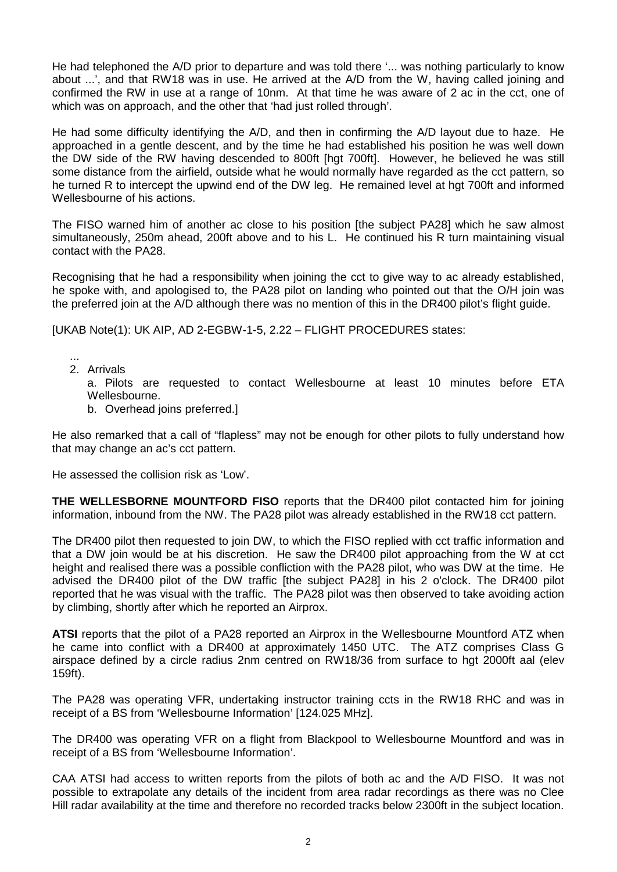He had telephoned the A/D prior to departure and was told there '... was nothing particularly to know about ...', and that RW18 was in use. He arrived at the A/D from the W, having called joining and confirmed the RW in use at a range of 10nm. At that time he was aware of 2 ac in the cct, one of which was on approach, and the other that 'had just rolled through'.

He had some difficulty identifying the A/D, and then in confirming the A/D layout due to haze. He approached in a gentle descent, and by the time he had established his position he was well down the DW side of the RW having descended to 800ft [hgt 700ft]. However, he believed he was still some distance from the airfield, outside what he would normally have regarded as the cct pattern, so he turned R to intercept the upwind end of the DW leg. He remained level at hgt 700ft and informed Wellesbourne of his actions.

The FISO warned him of another ac close to his position [the subject PA28] which he saw almost simultaneously, 250m ahead, 200ft above and to his L. He continued his R turn maintaining visual contact with the PA28.

Recognising that he had a responsibility when joining the cct to give way to ac already established, he spoke with, and apologised to, the PA28 pilot on landing who pointed out that the O/H join was the preferred join at the A/D although there was no mention of this in the DR400 pilot's flight guide.

[UKAB Note(1): UK AIP, AD 2-EGBW-1-5, 2.22 – FLIGHT PROCEDURES states:

... 2. Arrivals

> a. Pilots are requested to contact Wellesbourne at least 10 minutes before ETA Wellesbourne.

b. Overhead joins preferred.]

He also remarked that a call of "flapless" may not be enough for other pilots to fully understand how that may change an ac's cct pattern.

He assessed the collision risk as 'Low'.

**THE WELLESBORNE MOUNTFORD FISO** reports that the DR400 pilot contacted him for joining information, inbound from the NW. The PA28 pilot was already established in the RW18 cct pattern.

The DR400 pilot then requested to join DW, to which the FISO replied with cct traffic information and that a DW join would be at his discretion. He saw the DR400 pilot approaching from the W at cct height and realised there was a possible confliction with the PA28 pilot, who was DW at the time. He advised the DR400 pilot of the DW traffic [the subject PA28] in his 2 o'clock. The DR400 pilot reported that he was visual with the traffic. The PA28 pilot was then observed to take avoiding action by climbing, shortly after which he reported an Airprox.

**ATSI** reports that the pilot of a PA28 reported an Airprox in the Wellesbourne Mountford ATZ when he came into conflict with a DR400 at approximately 1450 UTC. The ATZ comprises Class G airspace defined by a circle radius 2nm centred on RW18/36 from surface to hgt 2000ft aal (elev 159ft).

The PA28 was operating VFR, undertaking instructor training ccts in the RW18 RHC and was in receipt of a BS from 'Wellesbourne Information' [124.025 MHz].

The DR400 was operating VFR on a flight from Blackpool to Wellesbourne Mountford and was in receipt of a BS from 'Wellesbourne Information'.

CAA ATSI had access to written reports from the pilots of both ac and the A/D FISO. It was not possible to extrapolate any details of the incident from area radar recordings as there was no Clee Hill radar availability at the time and therefore no recorded tracks below 2300ft in the subject location.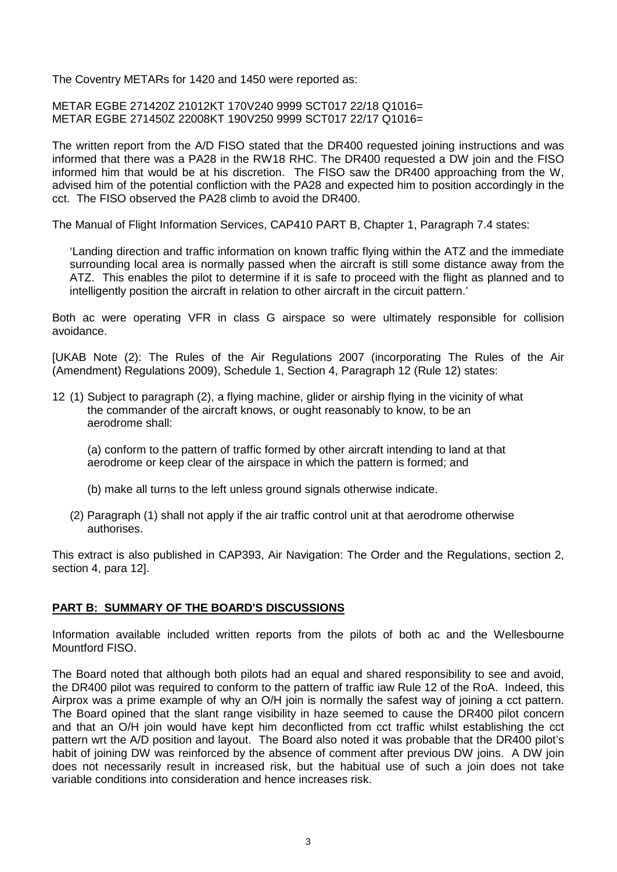The Coventry METARs for 1420 and 1450 were reported as:

METAR EGBE 271420Z 21012KT 170V240 9999 SCT017 22/18 Q1016= METAR EGBE 271450Z 22008KT 190V250 9999 SCT017 22/17 Q1016=

The written report from the A/D FISO stated that the DR400 requested joining instructions and was informed that there was a PA28 in the RW18 RHC. The DR400 requested a DW join and the FISO informed him that would be at his discretion. The FISO saw the DR400 approaching from the W, advised him of the potential confliction with the PA28 and expected him to position accordingly in the cct. The FISO observed the PA28 climb to avoid the DR400.

The Manual of Flight Information Services, CAP410 PART B, Chapter 1, Paragraph 7.4 states:

'Landing direction and traffic information on known traffic flying within the ATZ and the immediate surrounding local area is normally passed when the aircraft is still some distance away from the ATZ. This enables the pilot to determine if it is safe to proceed with the flight as planned and to intelligently position the aircraft in relation to other aircraft in the circuit pattern.'

Both ac were operating VFR in class G airspace so were ultimately responsible for collision avoidance.

[UKAB Note (2): The Rules of the Air Regulations 2007 (incorporating The Rules of the Air (Amendment) Regulations 2009), Schedule 1, Section 4, Paragraph 12 (Rule 12) states:

12 (1) Subject to paragraph (2), a flying machine, glider or airship flying in the vicinity of what the commander of the aircraft knows, or ought reasonably to know, to be an aerodrome shall:

(a) conform to the pattern of traffic formed by other aircraft intending to land at that aerodrome or keep clear of the airspace in which the pattern is formed; and

- (b) make all turns to the left unless ground signals otherwise indicate.
- (2) Paragraph (1) shall not apply if the air traffic control unit at that aerodrome otherwise authorises.

This extract is also published in CAP393, Air Navigation: The Order and the Regulations, section 2, section 4, para 12].

## **PART B: SUMMARY OF THE BOARD'S DISCUSSIONS**

Information available included written reports from the pilots of both ac and the Wellesbourne Mountford FISO.

The Board noted that although both pilots had an equal and shared responsibility to see and avoid, the DR400 pilot was required to conform to the pattern of traffic iaw Rule 12 of the RoA. Indeed, this Airprox was a prime example of why an O/H join is normally the safest way of joining a cct pattern. The Board opined that the slant range visibility in haze seemed to cause the DR400 pilot concern and that an O/H join would have kept him deconflicted from cct traffic whilst establishing the cct pattern wrt the A/D position and layout. The Board also noted it was probable that the DR400 pilot's habit of joining DW was reinforced by the absence of comment after previous DW joins. A DW join does not necessarily result in increased risk, but the habitual use of such a join does not take variable conditions into consideration and hence increases risk.